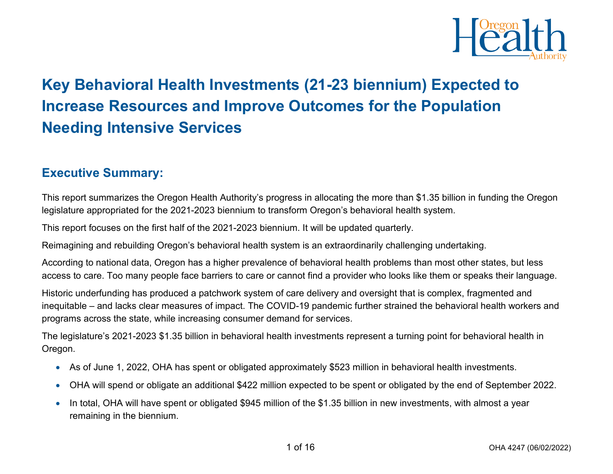

# **Key Behavioral Health Investments (21-23 biennium) Expected to Increase Resources and Improve Outcomes for the Population Needing Intensive Services**

### **Executive Summary:**

This report summarizes the Oregon Health Authority's progress in allocating the more than \$1.35 billion in funding the Oregon legislature appropriated for the 2021-2023 biennium to transform Oregon's behavioral health system.

This report focuses on the first half of the 2021-2023 biennium. It will be updated quarterly.

Reimagining and rebuilding Oregon's behavioral health system is an extraordinarily challenging undertaking.

According to national data, Oregon has a higher prevalence of behavioral health problems than most other states, but less access to care. Too many people face barriers to care or cannot find a provider who looks like them or speaks their language.

Historic underfunding has produced a patchwork system of care delivery and oversight that is complex, fragmented and inequitable – and lacks clear measures of impact. The COVID-19 pandemic further strained the behavioral health workers and programs across the state, while increasing consumer demand for services.

The legislature's 2021-2023 \$1.35 billion in behavioral health investments represent a turning point for behavioral health in Oregon.

- As of June 1, 2022, OHA has spent or obligated approximately \$523 million in behavioral health investments.
- OHA will spend or obligate an additional \$422 million expected to be spent or obligated by the end of September 2022.
- In total, OHA will have spent or obligated \$945 million of the \$1.35 billion in new investments, with almost a year remaining in the biennium.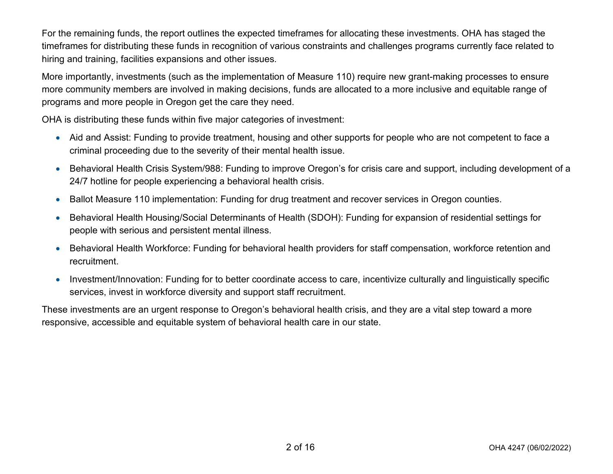For the remaining funds, the report outlines the expected timeframes for allocating these investments. OHA has staged the timeframes for distributing these funds in recognition of various constraints and challenges programs currently face related to hiring and training, facilities expansions and other issues.

More importantly, investments (such as the implementation of Measure 110) require new grant-making processes to ensure more community members are involved in making decisions, funds are allocated to a more inclusive and equitable range of programs and more people in Oregon get the care they need.

OHA is distributing these funds within five major categories of investment:

- Aid and Assist: Funding to provide treatment, housing and other supports for people who are not competent to face a criminal proceeding due to the severity of their mental health issue.
- Behavioral Health Crisis System/988: Funding to improve Oregon's for crisis care and support, including development of a 24/7 hotline for people experiencing a behavioral health crisis.
- Ballot Measure 110 implementation: Funding for drug treatment and recover services in Oregon counties.
- Behavioral Health Housing/Social Determinants of Health (SDOH): Funding for expansion of residential settings for people with serious and persistent mental illness.
- Behavioral Health Workforce: Funding for behavioral health providers for staff compensation, workforce retention and recruitment.
- Investment/Innovation: Funding for to better coordinate access to care, incentivize culturally and linguistically specific services, invest in workforce diversity and support staff recruitment.

These investments are an urgent response to Oregon's behavioral health crisis, and they are a vital step toward a more responsive, accessible and equitable system of behavioral health care in our state.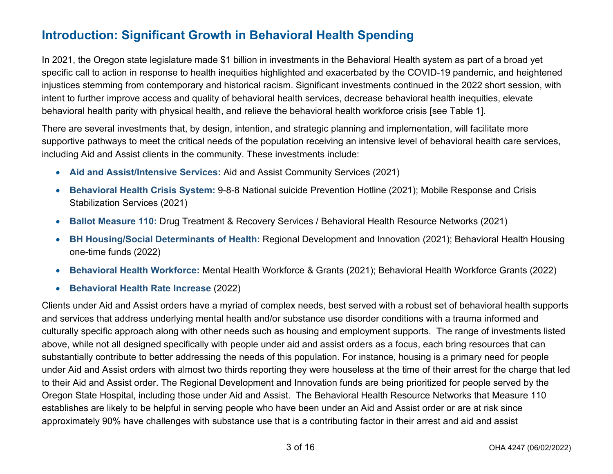## **Introduction: Significant Growth in Behavioral Health Spending**

In 2021, the Oregon state legislature made \$1 billion in investments in the Behavioral Health system as part of a broad yet specific call to action in response to health inequities highlighted and exacerbated by the COVID-19 pandemic, and heightened injustices stemming from contemporary and historical racism. Significant investments continued in the 2022 short session, with intent to further improve access and quality of behavioral health services, decrease behavioral health inequities, elevate behavioral health parity with physical health, and relieve the behavioral health workforce crisis [see Table 1].

There are several investments that, by design, intention, and strategic planning and implementation, will facilitate more supportive pathways to meet the critical needs of the population receiving an intensive level of behavioral health care services, including Aid and Assist clients in the community. These investments include:

- **Aid and Assist/Intensive Services:** Aid and Assist Community Services (2021)
- **Behavioral Health Crisis System:** 9-8-8 National suicide Prevention Hotline (2021); Mobile Response and Crisis Stabilization Services (2021)
- **Ballot Measure 110:** Drug Treatment & Recovery Services / Behavioral Health Resource Networks (2021)
- **BH Housing/Social Determinants of Health:** Regional Development and Innovation (2021); Behavioral Health Housing one-time funds (2022)
- **Behavioral Health Workforce:** Mental Health Workforce & Grants (2021); Behavioral Health Workforce Grants (2022)
- **Behavioral Health Rate Increase** (2022)

Clients under Aid and Assist orders have a myriad of complex needs, best served with a robust set of behavioral health supports and services that address underlying mental health and/or substance use disorder conditions with a trauma informed and culturally specific approach along with other needs such as housing and employment supports. The range of investments listed above, while not all designed specifically with people under aid and assist orders as a focus, each bring resources that can substantially contribute to better addressing the needs of this population. For instance, housing is a primary need for people under Aid and Assist orders with almost two thirds reporting they were houseless at the time of their arrest for the charge that led to their Aid and Assist order. The Regional Development and Innovation funds are being prioritized for people served by the Oregon State Hospital, including those under Aid and Assist. The Behavioral Health Resource Networks that Measure 110 establishes are likely to be helpful in serving people who have been under an Aid and Assist order or are at risk since approximately 90% have challenges with substance use that is a contributing factor in their arrest and aid and assist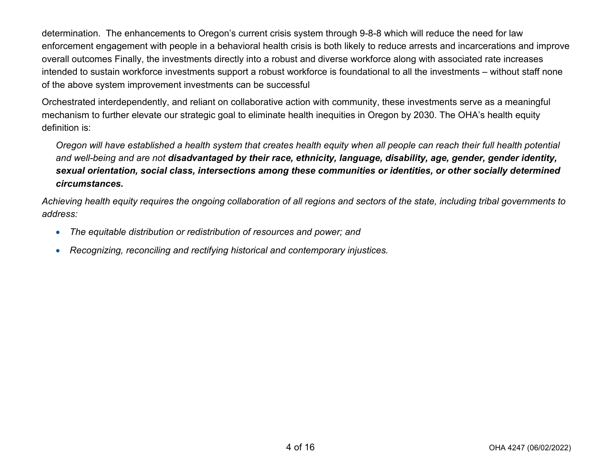determination. The enhancements to Oregon's current crisis system through 9-8-8 which will reduce the need for law enforcement engagement with people in a behavioral health crisis is both likely to reduce arrests and incarcerations and improve overall outcomes Finally, the investments directly into a robust and diverse workforce along with associated rate increases intended to sustain workforce investments support a robust workforce is foundational to all the investments – without staff none of the above system improvement investments can be successful

Orchestrated interdependently, and reliant on collaborative action with community, these investments serve as a meaningful mechanism to further elevate our strategic goal to eliminate health inequities in Oregon by 2030. The OHA's health equity definition is:

*Oregon will have established a health system that creates health equity when all people can reach their full health potential and well-being and are not disadvantaged by their race, ethnicity, language, disability, age, gender, gender identity, sexual orientation, social class, intersections among these communities or identities, or other socially determined circumstances.*

*Achieving health equity requires the ongoing collaboration of all regions and sectors of the state, including tribal governments to address:*

- *The equitable distribution or redistribution of resources and power; and*
- *Recognizing, reconciling and rectifying historical and contemporary injustices.*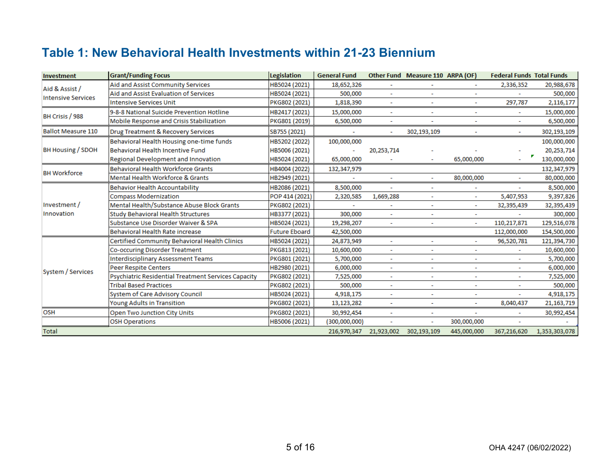## **Table 1: New Behavioral Health Investments within 21-23 Biennium**

| Investment                 | <b>Grant/Funding Focus</b>                          | Legislation          | <b>General Fund</b> |                          | Other Fund Measure 110 ARPA (OF) |                          |                                                                                                                                                                                                                                                                                              |               |
|----------------------------|-----------------------------------------------------|----------------------|---------------------|--------------------------|----------------------------------|--------------------------|----------------------------------------------------------------------------------------------------------------------------------------------------------------------------------------------------------------------------------------------------------------------------------------------|---------------|
| Aid & Assist /             | Aid and Assist Community Services                   | HB5024 (2021)        | 18,652,326          |                          |                                  |                          | 2,336,352                                                                                                                                                                                                                                                                                    | 20,988,678    |
| <b>Intensive Services</b>  | Aid and Assist Evaluation of Services               | HB5024 (2021)        | 500,000             |                          |                                  |                          |                                                                                                                                                                                                                                                                                              | 500,000       |
|                            | <b>Intensive Services Unit</b>                      | PKG802 (2021)        | 1,818,390           | ÷                        |                                  |                          | <b>Federal Funds Total Funds</b><br>297,787<br>٠<br>$\overline{\phantom{a}}$<br>$\overline{\phantom{a}}$<br>5,407,953<br>32,395,439<br>110,217,871<br>112,000,000<br>96,520,781<br>$\sim$<br>٠<br>$\tilde{\phantom{a}}$<br>$\tilde{\phantom{a}}$<br>$\sim$<br>÷.<br>8,040,437<br>367,216,620 | 2,116,177     |
| BH Crisis / 988            | 9-8-8 National Suicide Prevention Hotline           | HB2417 (2021)        | 15,000,000          |                          |                                  |                          |                                                                                                                                                                                                                                                                                              | 15,000,000    |
|                            | Mobile Response and Crisis Stabilization            | PKG801 (2019)        | 6,500,000           | ٠                        |                                  |                          |                                                                                                                                                                                                                                                                                              | 6,500,000     |
| <b>Ballot Measure 110</b>  | Drug Treatment & Recovery Services                  | SB755 (2021)         | ÷                   | ٠                        | 302,193,109                      |                          |                                                                                                                                                                                                                                                                                              | 302,193,109   |
|                            | Behavioral Health Housing one-time funds            | HB5202 (2022)        | 100,000,000         |                          |                                  |                          |                                                                                                                                                                                                                                                                                              | 100,000,000   |
| BH Housing / SDOH          | Behavioral Health Incentive Fund                    | HB5006 (2021)        |                     | 20,253,714               |                                  |                          |                                                                                                                                                                                                                                                                                              | 20,253,714    |
|                            | Regional Development and Innovation                 | HB5024 (2021)        | 65,000,000          |                          |                                  | 65,000,000               |                                                                                                                                                                                                                                                                                              | 130,000,000   |
| <b>BH Workforce</b>        | Behavioral Health Workforce Grants                  | HB4004 (2022)        | 132,347,979         |                          |                                  |                          |                                                                                                                                                                                                                                                                                              | 132,347,979   |
|                            | Mental Health Workforce & Grants                    | HB2949 (2021)        |                     | $\overline{\phantom{a}}$ |                                  | 80,000,000               |                                                                                                                                                                                                                                                                                              | 80,000,000    |
|                            | <b>Behavior Health Accountability</b>               | HB2086 (2021)        | 8,500,000           |                          |                                  |                          |                                                                                                                                                                                                                                                                                              | 8,500,000     |
|                            | <b>Compass Modernization</b>                        | POP 414 (2021)       | 2,320,585           | 1,669,288                |                                  | $\overline{\phantom{a}}$ |                                                                                                                                                                                                                                                                                              | 9,397,826     |
| Investment /<br>Innovation | Mental Health/Substance Abuse Block Grants          | PKG802 (2021)        | ÷                   |                          | $\sim$                           | $\sim$                   |                                                                                                                                                                                                                                                                                              | 32,395,439    |
|                            | Study Behavioral Health Structures                  | HB3377 (2021)        | 300,000             | $\blacksquare$           | $\overline{\phantom{a}}$         | $\sim$                   |                                                                                                                                                                                                                                                                                              | 300,000       |
|                            | Substance Use Disorder Waiver & SPA                 | HB5024 (2021)        | 19,298,207          | $\mathbf{r}$             |                                  | $\sim$                   |                                                                                                                                                                                                                                                                                              | 129,516,078   |
|                            | Behavioral Health Rate increase                     | <b>Future Eboard</b> | 42,500,000          |                          |                                  |                          |                                                                                                                                                                                                                                                                                              | 154,500,000   |
|                            | Certified Community Behavioral Health Clinics       | HB5024 (2021)        | 24,873,949          |                          |                                  |                          |                                                                                                                                                                                                                                                                                              | 121,394,730   |
|                            | Co-occuring Disorder Treatment                      | PKG813 (2021)        | 10,600,000          | $\sim$                   | ٠                                |                          |                                                                                                                                                                                                                                                                                              | 10,600,000    |
|                            | Interdisciplinary Assessment Teams                  | PKG801 (2021)        | 5,700,000           | $\overline{\phantom{a}}$ |                                  |                          |                                                                                                                                                                                                                                                                                              | 5,700,000     |
| System / Services          | Peer Respite Centers                                | HB2980 (2021)        | 6,000,000           | $\overline{\phantom{a}}$ | $\sim$                           | $\ddot{\phantom{0}}$     |                                                                                                                                                                                                                                                                                              | 6,000,000     |
|                            | Psychiatric Residential Treatment Services Capacity | PKG802 (2021)        | 7,525,000           | $\tilde{\phantom{a}}$    | ٠                                | $\blacksquare$           |                                                                                                                                                                                                                                                                                              | 7,525,000     |
|                            | <b>Tribal Based Practices</b>                       | PKG802 (2021)        | 500,000             | $\overline{\phantom{a}}$ | $\overline{\phantom{a}}$         | $\sim$                   |                                                                                                                                                                                                                                                                                              | 500,000       |
|                            | System of Care Advisory Council                     | HB5024 (2021)        | 4,918,175           | $\tilde{\phantom{a}}$    |                                  |                          |                                                                                                                                                                                                                                                                                              | 4,918,175     |
|                            | Young Adults in Transition                          | PKG802 (2021)        | 13,123,282          | $\sim$                   | $\overline{\phantom{a}}$         | $\sim$                   |                                                                                                                                                                                                                                                                                              | 21, 163, 719  |
| OSH                        | Open Two Junction City Units                        | PKG802 (2021)        | 30,992,454          |                          |                                  |                          |                                                                                                                                                                                                                                                                                              | 30,992,454    |
|                            | <b>OSH Operations</b>                               | HB5006 (2021)        | (300,000,000)       |                          | $\overline{\phantom{a}}$         | 300,000,000              |                                                                                                                                                                                                                                                                                              |               |
| Total                      |                                                     |                      | 216,970,347         | 21,923,002               | 302,193,109                      | 445,000,000              |                                                                                                                                                                                                                                                                                              | 1,353,303,078 |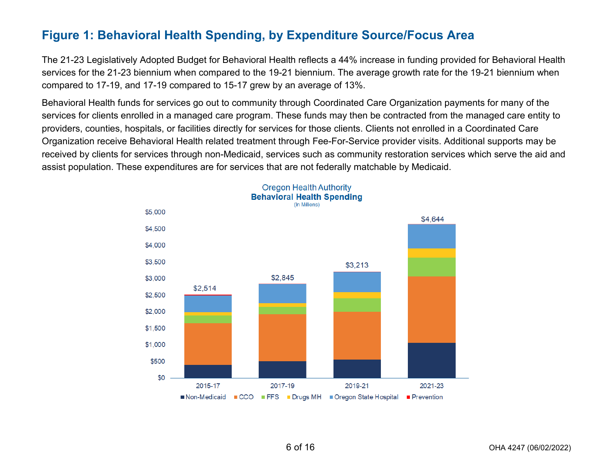## **Figure 1: Behavioral Health Spending, by Expenditure Source/Focus Area**

The 21-23 Legislatively Adopted Budget for Behavioral Health reflects a 44% increase in funding provided for Behavioral Health services for the 21-23 biennium when compared to the 19-21 biennium. The average growth rate for the 19-21 biennium when compared to 17-19, and 17-19 compared to 15-17 grew by an average of 13%.

Behavioral Health funds for services go out to community through Coordinated Care Organization payments for many of the services for clients enrolled in a managed care program. These funds may then be contracted from the managed care entity to providers, counties, hospitals, or facilities directly for services for those clients. Clients not enrolled in a Coordinated Care Organization receive Behavioral Health related treatment through Fee-For-Service provider visits. Additional supports may be received by clients for services through non-Medicaid, services such as community restoration services which serve the aid and assist population. These expenditures are for services that are not federally matchable by Medicaid.

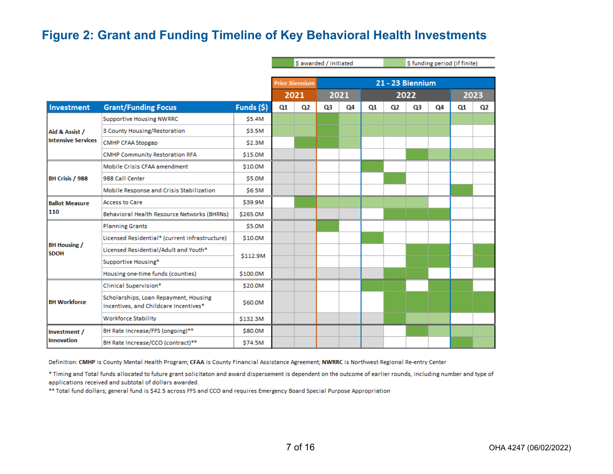## **Figure 2: Grant and Funding Timeline of Key Behavioral Health Investments**

|                                    |                                                                                |            | \$ awarded / initiated |                            |  | \$ funding period (if finite) |    |                         |    |    |  |      |
|------------------------------------|--------------------------------------------------------------------------------|------------|------------------------|----------------------------|--|-------------------------------|----|-------------------------|----|----|--|------|
|                                    |                                                                                |            |                        |                            |  |                               |    |                         |    |    |  |      |
|                                    |                                                                                |            |                        | <b>Prior Biennium</b>      |  |                               |    | <b>21 - 23 Biennium</b> |    |    |  |      |
|                                    |                                                                                |            |                        | 2021                       |  | 2021                          |    | 2022                    |    |    |  | 2023 |
| Investment                         | <b>Grant/Funding Focus</b>                                                     | Funds (\$) | Q1                     | Q2<br>Q3<br>Q4<br>Q2<br>Q1 |  |                               | Q3 | Q4                      | Q1 | Q2 |  |      |
|                                    | <b>Supportive Housing NWRRC</b>                                                | \$5.4M     |                        |                            |  |                               |    |                         |    |    |  |      |
| Aid & Assist /                     | 3 County Housing/Restoration                                                   | \$3.5M     |                        |                            |  |                               |    |                         |    |    |  |      |
| <b>Intensive Services</b>          | <b>CMHP CFAA Stopgap</b>                                                       | \$2.3M     |                        |                            |  |                               |    |                         |    |    |  |      |
|                                    | <b>CMHP Community Restoration RFA</b>                                          | \$15.0M    |                        |                            |  |                               |    |                         |    |    |  |      |
|                                    | Mobile Crisis CFAA amendment                                                   | \$10.0M    |                        |                            |  |                               |    |                         |    |    |  |      |
| BH Crisis / 988                    | 988 Call Center                                                                | \$5.0M     |                        |                            |  |                               |    |                         |    |    |  |      |
|                                    | Mobile Response and Crisis Stabilization                                       | \$6.5M     |                        |                            |  |                               |    |                         |    |    |  |      |
| <b>Ballot Measure</b>              | <b>Access to Care</b>                                                          | \$39.9M    |                        |                            |  |                               |    |                         |    |    |  |      |
| 110                                | Behavioral Health Resource Networks (BHRNs)                                    | \$265.0M   |                        |                            |  |                               |    |                         |    |    |  |      |
|                                    | <b>Planning Grants</b>                                                         | \$5.0M     |                        |                            |  |                               |    |                         |    |    |  |      |
|                                    | Licensed Residential* (current infrastructure)                                 | \$10.0M    |                        |                            |  |                               |    |                         |    |    |  |      |
| <b>BH Housing /</b><br><b>SDOH</b> | Licensed Residential/Adult and Youth*                                          | \$112.9M   |                        |                            |  |                               |    |                         |    |    |  |      |
|                                    | Supportive Housing*                                                            |            |                        |                            |  |                               |    |                         |    |    |  |      |
|                                    | Housing one-time funds (counties)                                              | \$100.0M   |                        |                            |  |                               |    |                         |    |    |  |      |
|                                    | Clinical Supervision*                                                          | \$20.0M    |                        |                            |  |                               |    |                         |    |    |  |      |
| <b>BH Workforce</b>                | Scholarships, Loan Repayment, Housing<br>Incentives, and Childcare Incentives* | \$60.0M    |                        |                            |  |                               |    |                         |    |    |  |      |
|                                    | <b>Workforce Stability</b>                                                     | \$132.3M   |                        |                            |  |                               |    |                         |    |    |  |      |
| Investment /                       | BH Rate Increase/FFS (ongoing)**                                               | \$80.0M    |                        |                            |  |                               |    |                         |    |    |  |      |
| Innovation                         | BH Rate Increase/CCO (contract)**                                              | \$74.5M    |                        |                            |  |                               |    |                         |    |    |  |      |

Definition: CMHP is County Mental Health Program; CFAA is County Financial Assistance Agreement; NWRRC is Northwest Regional Re-entry Center

\* Timing and Total funds allocated to future grant solicitaton and award dispersement is dependent on the outcome of earlier rounds, including number and type of applications received and subtotal of dollars awarded.

\*\* Total fund dollars; general fund is \$42.5 across FFS and CCO and requires Emergency Board Special Purpose Appropriation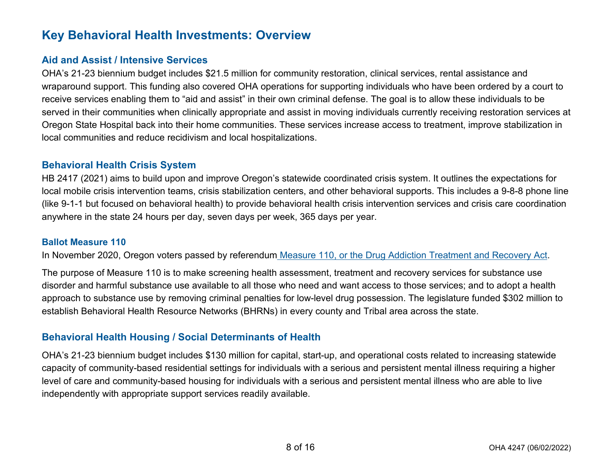## **Key Behavioral Health Investments: Overview**

#### **Aid and Assist / Intensive Services**

OHA's 21-23 biennium budget includes \$21.5 million for community restoration, clinical services, rental assistance and wraparound support. This funding also covered OHA operations for supporting individuals who have been ordered by a court to receive services enabling them to "aid and assist" in their own criminal defense. The goal is to allow these individuals to be served in their communities when clinically appropriate and assist in moving individuals currently receiving restoration services at Oregon State Hospital back into their home communities. These services increase access to treatment, improve stabilization in local communities and reduce recidivism and local hospitalizations.

#### **Behavioral Health Crisis System**

HB 2417 (2021) aims to build upon and improve Oregon's statewide coordinated crisis system. It outlines the expectations for local mobile crisis intervention teams, crisis stabilization centers, and other behavioral supports. This includes a 9-8-8 phone line (like 9-1-1 but focused on behavioral health) to provide behavioral health crisis intervention services and crisis care coordination anywhere in the state 24 hours per day, seven days per week, 365 days per year.

#### **Ballot Measure 110**

In November 2020, Oregon voters passed by referendum [Measure 110, or the Drug Addiction Treatment and Recovery Act.](http://oregonvotes.org/irr/2020/044text.pdf)

The purpose of Measure 110 is to make screening health assessment, treatment and recovery services for substance use disorder and harmful substance use available to all those who need and want access to those services; and to adopt a health approach to substance use by removing criminal penalties for low-level drug possession. The legislature funded \$302 million to establish Behavioral Health Resource Networks (BHRNs) in every county and Tribal area across the state.

#### **Behavioral Health Housing / Social Determinants of Health**

OHA's 21-23 biennium budget includes \$130 million for capital, start-up, and operational costs related to increasing statewide capacity of community-based residential settings for individuals with a serious and persistent mental illness requiring a higher level of care and community-based housing for individuals with a serious and persistent mental illness who are able to live independently with appropriate support services readily available.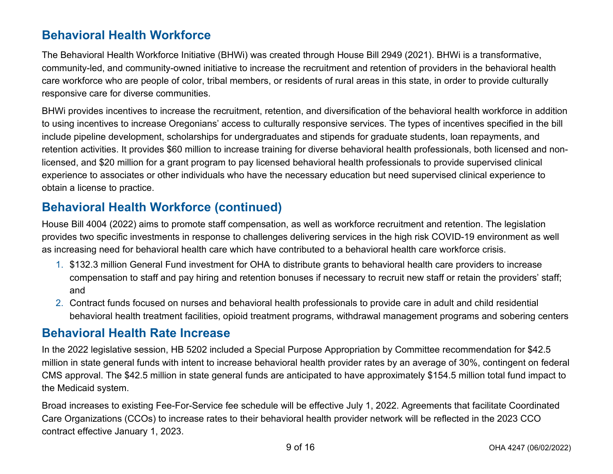## **Behavioral Health Workforce**

The Behavioral Health Workforce Initiative (BHWi) was created through House Bill 2949 (2021). BHWi is a transformative, community-led, and community-owned initiative to increase the recruitment and retention of providers in the behavioral health care workforce who are people of color, tribal members, or residents of rural areas in this state, in order to provide culturally responsive care for diverse communities.

BHWi provides incentives to increase the recruitment, retention, and diversification of the behavioral health workforce in addition to using incentives to increase Oregonians' access to culturally responsive services. The types of incentives specified in the bill include pipeline development, scholarships for undergraduates and stipends for graduate students, loan repayments, and retention activities. It provides \$60 million to increase training for diverse behavioral health professionals, both licensed and nonlicensed, and \$20 million for a grant program to pay licensed behavioral health professionals to provide supervised clinical experience to associates or other individuals who have the necessary education but need supervised clinical experience to obtain a license to practice.

## **Behavioral Health Workforce (continued)**

House Bill 4004 (2022) aims to promote staff compensation, as well as workforce recruitment and retention. The legislation provides two specific investments in response to challenges delivering services in the high risk COVID-19 environment as well as increasing need for behavioral health care which have contributed to a behavioral health care workforce crisis.

- 1. \$132.3 million General Fund investment for OHA to distribute grants to behavioral health care providers to increase compensation to staff and pay hiring and retention bonuses if necessary to recruit new staff or retain the providers' staff; and
- 2. Contract funds focused on nurses and behavioral health professionals to provide care in adult and child residential behavioral health treatment facilities, opioid treatment programs, withdrawal management programs and sobering centers

## **Behavioral Health Rate Increase**

In the 2022 legislative session, HB 5202 included a Special Purpose Appropriation by Committee recommendation for \$42.5 million in state general funds with intent to increase behavioral health provider rates by an average of 30%, contingent on federal CMS approval. The \$42.5 million in state general funds are anticipated to have approximately \$154.5 million total fund impact to the Medicaid system.

Broad increases to existing Fee-For-Service fee schedule will be effective July 1, 2022. Agreements that facilitate Coordinated Care Organizations (CCOs) to increase rates to their behavioral health provider network will be reflected in the 2023 CCO contract effective January 1, 2023.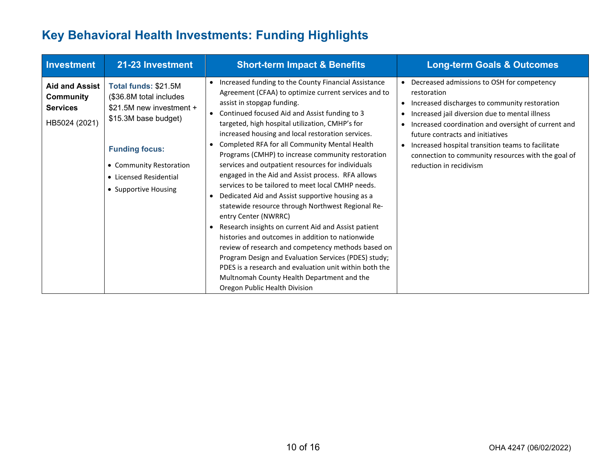## **Key Behavioral Health Investments: Funding Highlights**

| Investment                                                             | 21-23 Investment                                                                                                                                                                                          | <b>Short-term Impact &amp; Benefits</b>                                                                                                                                                                                                                                                                                                                                                                                                                                                                                                                                                                                                                                                                                                                                                                                                                                                                                                                                                                                                                                                                            | <b>Long-term Goals &amp; Outcomes</b>                                                                                                                                                                                                                                                                                                                                                                                                                          |
|------------------------------------------------------------------------|-----------------------------------------------------------------------------------------------------------------------------------------------------------------------------------------------------------|--------------------------------------------------------------------------------------------------------------------------------------------------------------------------------------------------------------------------------------------------------------------------------------------------------------------------------------------------------------------------------------------------------------------------------------------------------------------------------------------------------------------------------------------------------------------------------------------------------------------------------------------------------------------------------------------------------------------------------------------------------------------------------------------------------------------------------------------------------------------------------------------------------------------------------------------------------------------------------------------------------------------------------------------------------------------------------------------------------------------|----------------------------------------------------------------------------------------------------------------------------------------------------------------------------------------------------------------------------------------------------------------------------------------------------------------------------------------------------------------------------------------------------------------------------------------------------------------|
| <b>Aid and Assist</b><br>Community<br><b>Services</b><br>HB5024 (2021) | Total funds: \$21.5M<br>(\$36.8M total includes<br>\$21.5M new investment +<br>\$15.3M base budget)<br><b>Funding focus:</b><br>• Community Restoration<br>• Licensed Residential<br>• Supportive Housing | Increased funding to the County Financial Assistance<br>$\bullet$<br>Agreement (CFAA) to optimize current services and to<br>assist in stopgap funding.<br>Continued focused Aid and Assist funding to 3<br>$\bullet$<br>targeted, high hospital utilization, CMHP's for<br>increased housing and local restoration services.<br>Completed RFA for all Community Mental Health<br>Programs (CMHP) to increase community restoration<br>services and outpatient resources for individuals<br>engaged in the Aid and Assist process. RFA allows<br>services to be tailored to meet local CMHP needs.<br>Dedicated Aid and Assist supportive housing as a<br>statewide resource through Northwest Regional Re-<br>entry Center (NWRRC)<br>Research insights on current Aid and Assist patient<br>$\bullet$<br>histories and outcomes in addition to nationwide<br>review of research and competency methods based on<br>Program Design and Evaluation Services (PDES) study;<br>PDES is a research and evaluation unit within both the<br>Multnomah County Health Department and the<br>Oregon Public Health Division | Decreased admissions to OSH for competency<br>$\bullet$<br>restoration<br>Increased discharges to community restoration<br>$\bullet$<br>Increased jail diversion due to mental illness<br>$\bullet$<br>Increased coordination and oversight of current and<br>$\bullet$<br>future contracts and initiatives<br>Increased hospital transition teams to facilitate<br>$\bullet$<br>connection to community resources with the goal of<br>reduction in recidivism |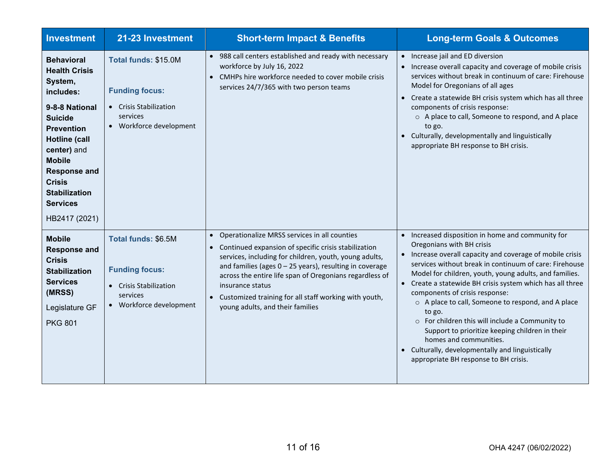| <b>Investment</b>                                                                                                                                                                                                                                                                      | 21-23 Investment                                                                                               | <b>Short-term Impact &amp; Benefits</b>                                                                                                                                                                                                                                                                                                                                                                                             | <b>Long-term Goals &amp; Outcomes</b>                                                                                                                                                                                                                                                                                                                                                                                                                                                                                                                                                                                                                 |
|----------------------------------------------------------------------------------------------------------------------------------------------------------------------------------------------------------------------------------------------------------------------------------------|----------------------------------------------------------------------------------------------------------------|-------------------------------------------------------------------------------------------------------------------------------------------------------------------------------------------------------------------------------------------------------------------------------------------------------------------------------------------------------------------------------------------------------------------------------------|-------------------------------------------------------------------------------------------------------------------------------------------------------------------------------------------------------------------------------------------------------------------------------------------------------------------------------------------------------------------------------------------------------------------------------------------------------------------------------------------------------------------------------------------------------------------------------------------------------------------------------------------------------|
| <b>Behavioral</b><br><b>Health Crisis</b><br>System,<br>includes:<br>9-8-8 National<br><b>Suicide</b><br><b>Prevention</b><br><b>Hotline (call</b><br>center) and<br><b>Mobile</b><br><b>Response and</b><br><b>Crisis</b><br><b>Stabilization</b><br><b>Services</b><br>HB2417 (2021) | Total funds: \$15.0M<br><b>Funding focus:</b><br>• Crisis Stabilization<br>services<br>• Workforce development | • 988 call centers established and ready with necessary<br>workforce by July 16, 2022<br>• CMHPs hire workforce needed to cover mobile crisis<br>services 24/7/365 with two person teams                                                                                                                                                                                                                                            | Increase jail and ED diversion<br>$\bullet$<br>Increase overall capacity and coverage of mobile crisis<br>services without break in continuum of care: Firehouse<br>Model for Oregonians of all ages<br>• Create a statewide BH crisis system which has all three<br>components of crisis response:<br>o A place to call, Someone to respond, and A place<br>to go.<br>• Culturally, developmentally and linguistically<br>appropriate BH response to BH crisis.                                                                                                                                                                                      |
| <b>Mobile</b><br><b>Response and</b><br><b>Crisis</b><br><b>Stabilization</b><br><b>Services</b><br>(MRSS)<br>Legislature GF<br><b>PKG 801</b>                                                                                                                                         | Total funds: \$6.5M<br><b>Funding focus:</b><br>• Crisis Stabilization<br>services<br>• Workforce development  | Operationalize MRSS services in all counties<br>$\bullet$<br>Continued expansion of specific crisis stabilization<br>$\bullet$<br>services, including for children, youth, young adults,<br>and families (ages $0 - 25$ years), resulting in coverage<br>across the entire life span of Oregonians regardless of<br>insurance status<br>• Customized training for all staff working with youth,<br>young adults, and their families | Increased disposition in home and community for<br>Oregonians with BH crisis<br>Increase overall capacity and coverage of mobile crisis<br>services without break in continuum of care: Firehouse<br>Model for children, youth, young adults, and families.<br>Create a statewide BH crisis system which has all three<br>components of crisis response:<br>o A place to call, Someone to respond, and A place<br>to go.<br>o For children this will include a Community to<br>Support to prioritize keeping children in their<br>homes and communities.<br>• Culturally, developmentally and linguistically<br>appropriate BH response to BH crisis. |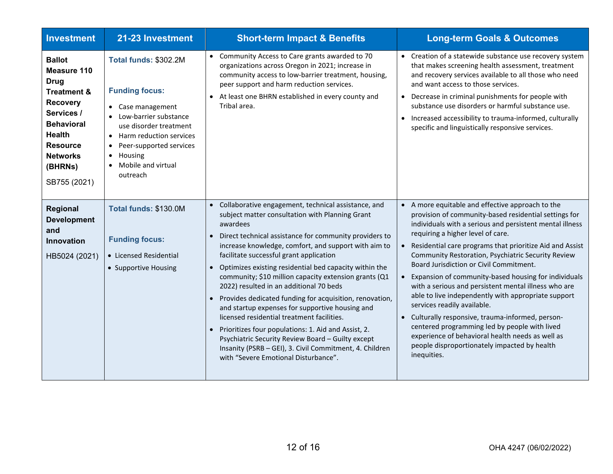| <b>Investment</b>                                                                                                                                                                                             | 21-23 Investment                                                                                                                                                                                                                                                              | <b>Short-term Impact &amp; Benefits</b>                                                                                                                                                                                                                                                                                                                                                                                                                                                                                                                                                                                                                                                                                                                                                                                                                           | <b>Long-term Goals &amp; Outcomes</b>                                                                                                                                                                                                                                                                                                                                                                                                                                                                                                                                                                                                                                                                                                                                                              |
|---------------------------------------------------------------------------------------------------------------------------------------------------------------------------------------------------------------|-------------------------------------------------------------------------------------------------------------------------------------------------------------------------------------------------------------------------------------------------------------------------------|-------------------------------------------------------------------------------------------------------------------------------------------------------------------------------------------------------------------------------------------------------------------------------------------------------------------------------------------------------------------------------------------------------------------------------------------------------------------------------------------------------------------------------------------------------------------------------------------------------------------------------------------------------------------------------------------------------------------------------------------------------------------------------------------------------------------------------------------------------------------|----------------------------------------------------------------------------------------------------------------------------------------------------------------------------------------------------------------------------------------------------------------------------------------------------------------------------------------------------------------------------------------------------------------------------------------------------------------------------------------------------------------------------------------------------------------------------------------------------------------------------------------------------------------------------------------------------------------------------------------------------------------------------------------------------|
| <b>Ballot</b><br>Measure 110<br><b>Drug</b><br><b>Treatment &amp;</b><br><b>Recovery</b><br>Services /<br><b>Behavioral</b><br><b>Health</b><br><b>Resource</b><br><b>Networks</b><br>(BHRNs)<br>SB755 (2021) | Total funds: \$302.2M<br><b>Funding focus:</b><br>• Case management<br>Low-barrier substance<br>use disorder treatment<br>Harm reduction services<br>$\bullet$<br>Peer-supported services<br>$\bullet$<br>Housing<br>$\bullet$<br>Mobile and virtual<br>$\bullet$<br>outreach | • Community Access to Care grants awarded to 70<br>organizations across Oregon in 2021; increase in<br>community access to low-barrier treatment, housing,<br>peer support and harm reduction services.<br>At least one BHRN established in every county and<br>$\bullet$<br>Tribal area.                                                                                                                                                                                                                                                                                                                                                                                                                                                                                                                                                                         | • Creation of a statewide substance use recovery system<br>that makes screening health assessment, treatment<br>and recovery services available to all those who need<br>and want access to those services.<br>Decrease in criminal punishments for people with<br>substance use disorders or harmful substance use.<br>Increased accessibility to trauma-informed, culturally<br>specific and linguistically responsive services.                                                                                                                                                                                                                                                                                                                                                                 |
| Regional<br><b>Development</b><br>and<br>Innovation<br>HB5024 (2021)                                                                                                                                          | Total funds: \$130.0M<br><b>Funding focus:</b><br>• Licensed Residential<br>• Supportive Housing                                                                                                                                                                              | Collaborative engagement, technical assistance, and<br>$\bullet$<br>subject matter consultation with Planning Grant<br>awardees<br>Direct technical assistance for community providers to<br>increase knowledge, comfort, and support with aim to<br>facilitate successful grant application<br>Optimizes existing residential bed capacity within the<br>$\bullet$<br>community; \$10 million capacity extension grants (Q1<br>2022) resulted in an additional 70 beds<br>Provides dedicated funding for acquisition, renovation,<br>$\bullet$<br>and startup expenses for supportive housing and<br>licensed residential treatment facilities.<br>• Prioritizes four populations: 1. Aid and Assist, 2.<br>Psychiatric Security Review Board - Guilty except<br>Insanity (PSRB - GEI), 3. Civil Commitment, 4. Children<br>with "Severe Emotional Disturbance". | A more equitable and effective approach to the<br>provision of community-based residential settings for<br>individuals with a serious and persistent mental illness<br>requiring a higher level of care.<br>Residential care programs that prioritize Aid and Assist<br>Community Restoration, Psychiatric Security Review<br>Board Jurisdiction or Civil Commitment.<br>Expansion of community-based housing for individuals<br>with a serious and persistent mental illness who are<br>able to live independently with appropriate support<br>services readily available.<br>Culturally responsive, trauma-informed, person-<br>centered programming led by people with lived<br>experience of behavioral health needs as well as<br>people disproportionately impacted by health<br>inequities. |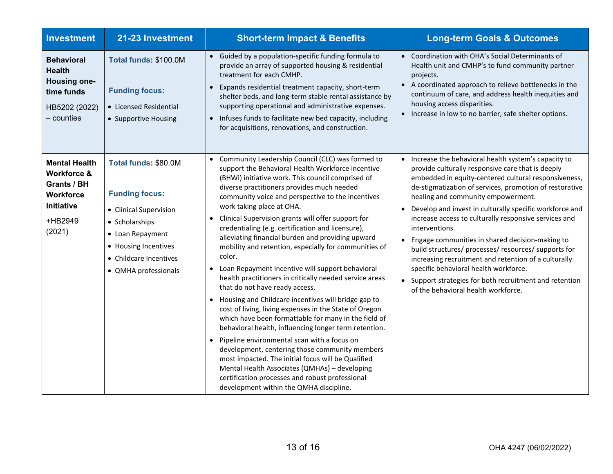| <b>Investment</b>                                                                                             | 21-23 Investment                                                                                                                                                                        | <b>Short-term Impact &amp; Benefits</b>                                                                                                                                                                                                                                                                                                                                                                                                                                                                                                                                                                                                                                                                                                                                                                                                                                                                                                                                                                                                                                                                                                                                                                                               | <b>Long-term Goals &amp; Outcomes</b>                                                                                                                                                                                                                                                                                                                                                                                                                                                                                                                                                                                                                                                                                 |
|---------------------------------------------------------------------------------------------------------------|-----------------------------------------------------------------------------------------------------------------------------------------------------------------------------------------|---------------------------------------------------------------------------------------------------------------------------------------------------------------------------------------------------------------------------------------------------------------------------------------------------------------------------------------------------------------------------------------------------------------------------------------------------------------------------------------------------------------------------------------------------------------------------------------------------------------------------------------------------------------------------------------------------------------------------------------------------------------------------------------------------------------------------------------------------------------------------------------------------------------------------------------------------------------------------------------------------------------------------------------------------------------------------------------------------------------------------------------------------------------------------------------------------------------------------------------|-----------------------------------------------------------------------------------------------------------------------------------------------------------------------------------------------------------------------------------------------------------------------------------------------------------------------------------------------------------------------------------------------------------------------------------------------------------------------------------------------------------------------------------------------------------------------------------------------------------------------------------------------------------------------------------------------------------------------|
| <b>Behavioral</b><br><b>Health</b><br><b>Housing one-</b><br>time funds<br>HB5202 (2022)<br>– counties        | Total funds: \$100.0M<br><b>Funding focus:</b><br>• Licensed Residential<br>• Supportive Housing                                                                                        | Guided by a population-specific funding formula to<br>provide an array of supported housing & residential<br>treatment for each CMHP.<br>Expands residential treatment capacity, short-term<br>$\bullet$<br>shelter beds, and long-term stable rental assistance by<br>supporting operational and administrative expenses.<br>• Infuses funds to facilitate new bed capacity, including<br>for acquisitions, renovations, and construction.                                                                                                                                                                                                                                                                                                                                                                                                                                                                                                                                                                                                                                                                                                                                                                                           | Coordination with OHA's Social Determinants of<br>Health unit and CMHP's to fund community partner<br>projects.<br>A coordinated approach to relieve bottlenecks in the<br>$\bullet$<br>continuum of care, and address health inequities and<br>housing access disparities.<br>Increase in low to no barrier, safe shelter options.                                                                                                                                                                                                                                                                                                                                                                                   |
| <b>Mental Health</b><br><b>Workforce &amp;</b><br>Grants / BH<br>Workforce<br>Initiative<br>+HB2949<br>(2021) | Total funds: \$80.0M<br><b>Funding focus:</b><br>• Clinical Supervision<br>• Scholarships<br>• Loan Repayment<br>• Housing Incentives<br>• Childcare Incentives<br>• QMHA professionals | Community Leadership Council (CLC) was formed to<br>support the Behavioral Health Workforce incentive<br>(BHWi) initiative work. This council comprised of<br>diverse practitioners provides much needed<br>community voice and perspective to the incentives<br>work taking place at OHA.<br>Clinical Supervision grants will offer support for<br>credentialing (e.g. certification and licensure),<br>alleviating financial burden and providing upward<br>mobility and retention, especially for communities of<br>color.<br>Loan Repayment incentive will support behavioral<br>health practitioners in critically needed service areas<br>that do not have ready access.<br>• Housing and Childcare incentives will bridge gap to<br>cost of living, living expenses in the State of Oregon<br>which have been formattable for many in the field of<br>behavioral health, influencing longer term retention.<br>Pipeline environmental scan with a focus on<br>$\bullet$<br>development, centering those community members<br>most impacted. The initial focus will be Qualified<br>Mental Health Associates (QMHAs) - developing<br>certification processes and robust professional<br>development within the QMHA discipline. | Increase the behavioral health system's capacity to<br>provide culturally responsive care that is deeply<br>embedded in equity-centered cultural responsiveness,<br>de-stigmatization of services, promotion of restorative<br>healing and community empowerment.<br>Develop and invest in culturally specific workforce and<br>increase access to culturally responsive services and<br>interventions.<br>Engage communities in shared decision-making to<br>build structures/ processes/ resources/ supports for<br>increasing recruitment and retention of a culturally<br>specific behavioral health workforce.<br>• Support strategies for both recruitment and retention<br>of the behavioral health workforce. |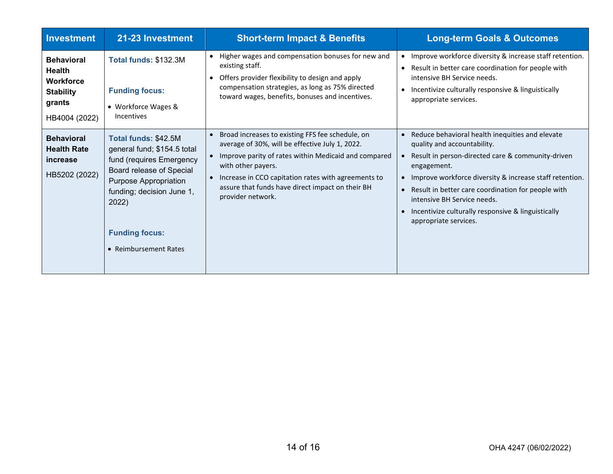| <b>Investment</b>                                                                                     | 21-23 Investment                                                                                                                                                                                                                  | <b>Short-term Impact &amp; Benefits</b>                                                                                                                                                                                                                                                                           | <b>Long-term Goals &amp; Outcomes</b>                                                                                                                                                                                                                                                                                                                                                                       |
|-------------------------------------------------------------------------------------------------------|-----------------------------------------------------------------------------------------------------------------------------------------------------------------------------------------------------------------------------------|-------------------------------------------------------------------------------------------------------------------------------------------------------------------------------------------------------------------------------------------------------------------------------------------------------------------|-------------------------------------------------------------------------------------------------------------------------------------------------------------------------------------------------------------------------------------------------------------------------------------------------------------------------------------------------------------------------------------------------------------|
| <b>Behavioral</b><br><b>Health</b><br><b>Workforce</b><br><b>Stability</b><br>grants<br>HB4004 (2022) | <b>Total funds: \$132.3M</b><br><b>Funding focus:</b><br>• Workforce Wages &<br><b>Incentives</b>                                                                                                                                 | Higher wages and compensation bonuses for new and<br>$\bullet$<br>existing staff.<br>Offers provider flexibility to design and apply<br>$\bullet$<br>compensation strategies, as long as 75% directed<br>toward wages, benefits, bonuses and incentives.                                                          | Improve workforce diversity & increase staff retention.<br>$\bullet$<br>Result in better care coordination for people with<br>$\bullet$<br>intensive BH Service needs.<br>Incentivize culturally responsive & linguistically<br>$\bullet$<br>appropriate services.                                                                                                                                          |
| <b>Behavioral</b><br><b>Health Rate</b><br>increase<br>HB5202 (2022)                                  | Total funds: \$42.5M<br>general fund; \$154.5 total<br>fund (requires Emergency<br>Board release of Special<br>Purpose Appropriation<br>funding; decision June 1,<br>2022)<br><b>Funding focus:</b><br><b>Reimbursement Rates</b> | Broad increases to existing FFS fee schedule, on<br>average of 30%, will be effective July 1, 2022.<br>Improve parity of rates within Medicaid and compared<br>with other payers.<br>Increase in CCO capitation rates with agreements to<br>assure that funds have direct impact on their BH<br>provider network. | Reduce behavioral health inequities and elevate<br>quality and accountability.<br>Result in person-directed care & community-driven<br>engagement.<br>Improve workforce diversity & increase staff retention.<br>Result in better care coordination for people with<br>$\bullet$<br>intensive BH Service needs.<br>Incentivize culturally responsive & linguistically<br>$\bullet$<br>appropriate services. |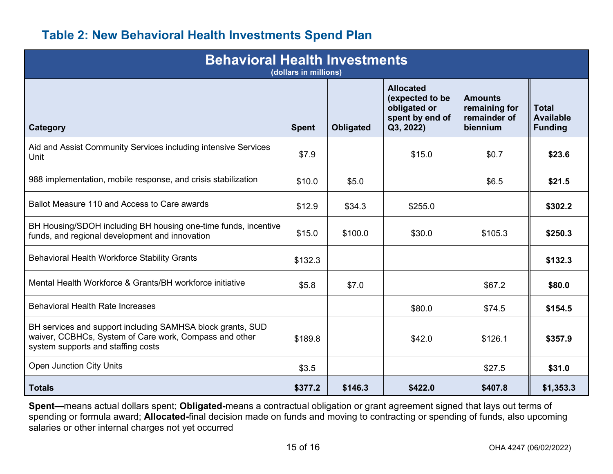## **Table 2: New Behavioral Health Investments Spend Plan**

| <b>Behavioral Health Investments</b><br>(dollars in millions)                                                                                              |              |           |                                                                                     |                                                             |                                                    |  |  |
|------------------------------------------------------------------------------------------------------------------------------------------------------------|--------------|-----------|-------------------------------------------------------------------------------------|-------------------------------------------------------------|----------------------------------------------------|--|--|
| <b>Category</b>                                                                                                                                            | <b>Spent</b> | Obligated | <b>Allocated</b><br>(expected to be<br>obligated or<br>spent by end of<br>Q3, 2022) | <b>Amounts</b><br>remaining for<br>remainder of<br>biennium | <b>Total</b><br><b>Available</b><br><b>Funding</b> |  |  |
| Aid and Assist Community Services including intensive Services<br>Unit                                                                                     | \$7.9        |           | \$15.0                                                                              | \$0.7                                                       | \$23.6                                             |  |  |
| 988 implementation, mobile response, and crisis stabilization                                                                                              | \$10.0       | \$5.0     |                                                                                     | \$6.5                                                       | \$21.5                                             |  |  |
| Ballot Measure 110 and Access to Care awards                                                                                                               | \$12.9       | \$34.3    | \$255.0                                                                             |                                                             | \$302.2                                            |  |  |
| BH Housing/SDOH including BH housing one-time funds, incentive<br>funds, and regional development and innovation                                           | \$15.0       | \$100.0   | \$30.0                                                                              | \$105.3                                                     | \$250.3                                            |  |  |
| <b>Behavioral Health Workforce Stability Grants</b>                                                                                                        | \$132.3      |           |                                                                                     |                                                             | \$132.3                                            |  |  |
| Mental Health Workforce & Grants/BH workforce initiative                                                                                                   | \$5.8        | \$7.0     |                                                                                     | \$67.2                                                      | \$80.0                                             |  |  |
| <b>Behavioral Health Rate Increases</b>                                                                                                                    |              |           | \$80.0                                                                              | \$74.5                                                      | \$154.5                                            |  |  |
| BH services and support including SAMHSA block grants, SUD<br>waiver, CCBHCs, System of Care work, Compass and other<br>system supports and staffing costs | \$189.8      |           | \$42.0                                                                              | \$126.1                                                     | \$357.9                                            |  |  |
| <b>Open Junction City Units</b>                                                                                                                            | \$3.5        |           |                                                                                     | \$27.5                                                      | \$31.0                                             |  |  |
| <b>Totals</b>                                                                                                                                              | \$377.2      | \$146.3   | \$422.0                                                                             | \$407.8                                                     | \$1,353.3                                          |  |  |

**Spent—**means actual dollars spent; **Obligated-**means a contractual obligation or grant agreement signed that lays out terms of spending or formula award; **Allocated-**final decision made on funds and moving to contracting or spending of funds, also upcoming salaries or other internal charges not yet occurred